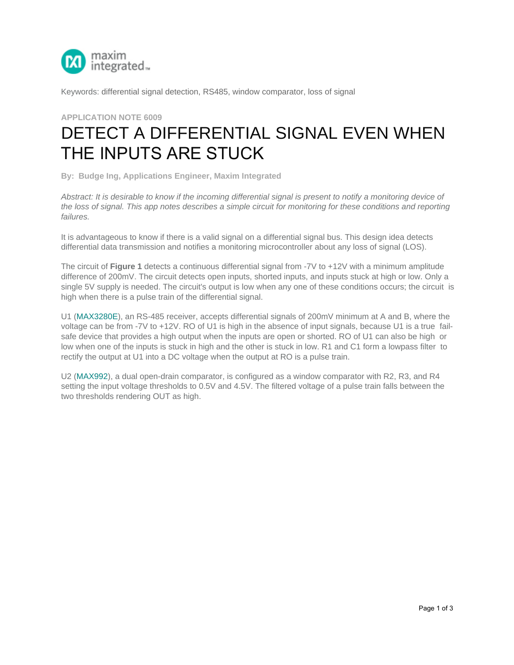

Keywords: differential signal detection, RS485, window comparator, loss of signal

## **APPLICATION NOTE 6009**

## DETECT A DIFFERENTIAL SIGNAL EVEN WHEN [THE INPUTS](http://www.maximintegrated.com/en/) ARE STUCK

**By: Budge Ing, Applications Engineer, Maxim Integrated**

*Abstract: It is desirable to know if the incoming differential signal is present to notify a monitoring device of the loss of signal. This app notes describes a simple circuit for monitoring for these conditions and reporting failures.*

It is advantageous to know if there is a valid signal on a differential signal bus. This design idea detects differential data transmission and notifies a monitoring microcontroller about any loss of signal (LOS).

The circuit of **Figure 1** detects a continuous differential signal from -7V to +12V with a minimum amplitude difference of 200mV. The circuit detects open inputs, shorted inputs, and inputs stuck at high or low. Only a single 5V supply is needed. The circuit's output is low when any one of these conditions occurs; the circuit is high when there is a pulse train of the differential signal.

U1 (MAX3280E), an RS-485 receiver, accepts differential signals of 200mV minimum at A and B, where the voltage can be from -7V to +12V. RO of U1 is high in the absence of input signals, because U1 is a true failsafe device that provides a high output when the inputs are open or shorted. RO of U1 can also be high or low when one of the inputs is stuck in high and the other is stuck in low. R1 and C1 form a lowpass filter to rectify the output at U1 into a DC voltage when the output at RO is a pulse train.

U2 (MAX992), a dual open-drain comparator, is configured as a window comparator with R2, R3, and R4 setting the input voltage thresholds to 0.5V and 4.5V. The filtered voltage of a pulse train falls between the two thresholds rendering OUT as high.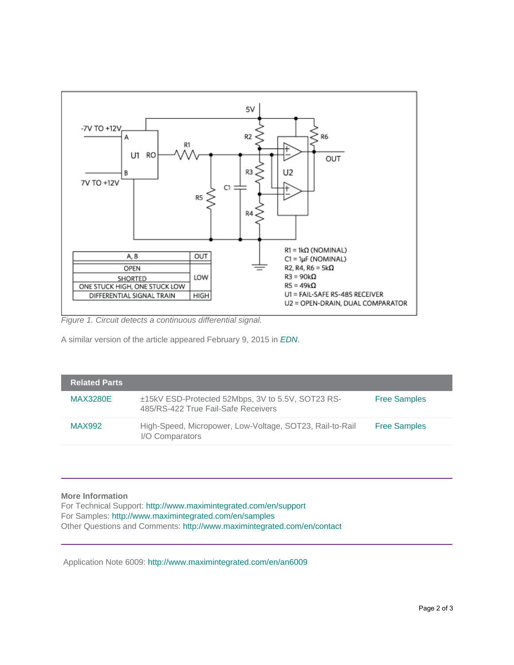

*Figure 1. Circuit detects a continuous differential signal.*

A similar version of the article appeared February 9, 2015 in *[EDN](http://www.edn.com/design/wireless-networking/4438614/Monitor-a-differential-pair-for-valid---fault-conditions)*.

| Related Parts <b>\</b> |                                                                                          |                     |
|------------------------|------------------------------------------------------------------------------------------|---------------------|
| <b>MAX3280E</b>        | ±15kV ESD-Protected 52Mbps, 3V to 5.5V, SOT23 RS-<br>485/RS-422 True Fail-Safe Receivers | <b>Free Samples</b> |
| <b>MAX992</b>          | High-Speed, Micropower, Low-Voltage, SOT23, Rail-to-Rail<br>I/O Comparators              | <b>Free Samples</b> |

More Information<br>For Technical Support: http://www.maximintegrated.com/en/support For Samples: http://www.maximintegrated.com/en/samples Other Questions and Comments: http://www.maximintegrated.com/en/contact

Application Note 6009:<http://www.maximintegrated.com/en/an6009>